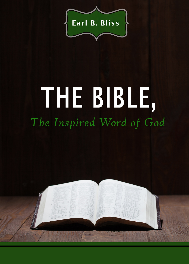

## THE BIBLE, The Inspired Word of God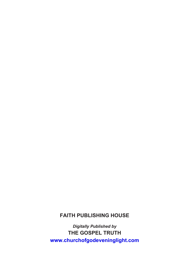## **FAITH PUBLISHING HOUSE**

*Digitally Published by* **THE GOSPEL TRUTH <www.churchofgodeveninglight.com>**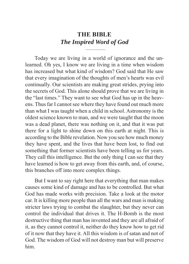## **THE BIBLE** *The Inspired Word of God*

Today we are living in a world of ignorance and the unlearned. Oh yes, I know we are living in a time when wisdom has increased but what kind of wisdom? God said that He saw that every imagination of the thoughts of men's hearts was evil continually. Our scientists are making great strides, prying into the secrets of God. This alone should prove that we are living in the "last times." They want to see what God has up in the heavens. Thus far I cannot see where they have found out much more than what I was taught when a child in school. Astronomy is the oldest science known to man, and we were taught that the moon was a dead planet, there was nothing on it, and that it was put there for a light to shine down on this earth at night. This is according to the Bible revelation. Now you see how much money they have spent, and the lives that have been lost, to find out something that former scientists have been telling us for years. They call this intelligence. But the only thing I can see that they have learned is how to get away from this earth, and, of course, this branches off into more complex things.

But I want to say right here that everything that man makes causes some kind of damage and has to be controlled. But what God has made works with precision. Take a look at the motor car. It is killing more people than all the wars and man is making stricter laws trying to combat the slaughter, but they never can control the individual that drives it. The H-Bomb is the most destructive thing that man has invented and they are all afraid of it, as they cannot control it, neither do they know how to get rid of it now that they have it. All this wisdom is of satan and not of God. The wisdom of God will not destroy man but will preserve him.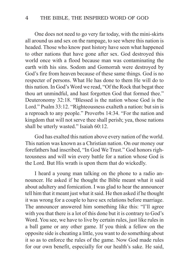## 4 THE BIBLE, THE INSPIRED WORD OF GOD

One does not need to go very far today, with the mini-skirts all around us and sex on the rampage, to see where this nation is headed. Those who know past history have seen what happened to other nations that have gone after sex. God destroyed this world once with a flood because man was contaminating the earth with his sins. Sodom and Gomorrah were destroyed by God's fire from heaven because of these same things. God is no respecter of persons. What He has done to them He will do to this nation. In God's Word we read, "Of the Rock that begat thee thou art unmindful, and hast forgotten God that formed thee." Deuteronomy 32:18. "Blessed is the nation whose God is the Lord." Psalm 33:12. "Righteousness exalteth a nation: but sin is a reproach to any people." Proverbs 14:34. "For the nation and kingdom that will not serve thee shall perish; yea, those nations shall be utterly wasted." Isaiah 60:12.

God has exalted this nation above every nation of the world. This nation was known as a Christian nation. On our money our forefathers had inscribed, "In God We Trust." God honors righteousness and will win every battle for a nation whose God is the Lord. But His wrath is upon them that do wickedly.

I heard a young man talking on the phone to a radio announcer. He asked if he thought the Bible meant what it said about adultery and fornication. I was glad to hear the announcer tell him that it meant just what it said. He then asked if he thought it was wrong for a couple to have sex relations before marriage. The announcer answered him something like this: "I'll agree with you that there is a lot of this done but it is contrary to God's Word. You see, we have to live by certain rules, just like rules in a ball game or any other game. If you think a fellow on the opposite side is cheating a little, you want to do something about it so as to enforce the rules of the game. Now God made rules for our own benefit, especially for our health's sake. He said,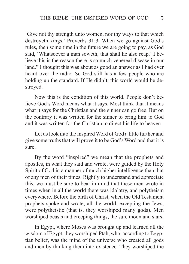'Give not thy strength unto women, nor thy ways to that which destroyeth kings.' Proverbs 31:3. When we go against God's rules, then some time in the future we are going to pay, as God said, 'Whatsoever a man soweth, that shall he also reap.' I believe this is the reason there is so much venereal disease in our land." I thought this was about as good an answer as I had ever heard over the radio. So God still has a few people who are holding up the standard. If He didn't, this world would be destroyed.

Now this is the condition of this world. People don't believe God's Word means what it says. Most think that it means what it says for the Christian and the sinner can go free. But on the contrary it was written for the sinner to bring him to God and it was written for the Christian to direct his life to heaven.

Let us look into the inspired Word of God a little further and give some truths that will prove it to be God's Word and that it is sure.

By the word "inspired" we mean that the prophets and apostles, in what they said and wrote, were guided by the Holy Spirit of God in a manner of much higher intelligence than that of any men of their times. Rightly to understand and appreciate this, we must be sure to bear in mind that these men wrote in times when in all the world there was idolatry, and polytheism everywhere. Before the birth of Christ, when the Old Testament prophets spoke and wrote, all the world, excepting the Jews, were polytheistic (that is, they worshiped many gods). Men worshiped beasts and creeping things, the sun, moon and stars.

In Egypt, where Moses was brought up and learned all the wisdom of Egypt, they worshiped Ptah, who, according to Egyptian belief, was the mind of the universe who created all gods and men by thinking them into existence. They worshiped the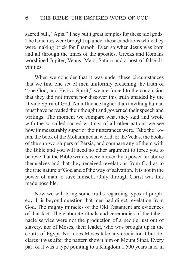sacred bull, "Apis." They built great temples for these idol gods. The Israelites were brought up under these conditions while they were making brick for Pharaoh. Even so when Jesus was born and all through the times of the apostles. Greeks and Romans worshiped Jupiter, Venus, Mars, Saturn and a host of false divinities.

When we consider that it was under these circumstances that we find one set of men uniformly preaching the truth of "one God, and He is a Spirit," we are forced to the conclusion that they did not invent nor discover this truth unaided by the Divine Spirit of God. An influence higher than anything human must have pervaded their thought and governed their speech and writings. The moment we compare what they said and wrote with the so-called sacred writings of all other nations we see how immeasurably superior their utterances were. Take the Koran, the book of the Mohammedan world, or the Vedas, the books of the sun-worshipers of Persia, and compare any of them with the Bible and you will need no other argument to force you to believe that the Bible writers were moved by a power far above themselves and that they received revelations from God as to the true nature of God and of the way of salvation. It is not in the power of man to save himself. Only through Christ was this made possible.

Now we will bring some truths regarding types of prophecy. It is beyond question that men had direct revelation from God. The mighty miracles of the Old Testament are evidences of that fact. The elaborate rituals and ceremonies of the tabernacle service were not the production of a people just out of slavery, nor of Moses, their leader, who was brought up in the courts of Egypt. Nor does Moses take any credit for it but declares it was after the pattern shown him on Mount Sinai. Every part of it was a type pointing to a Kingdom 1,500 years later in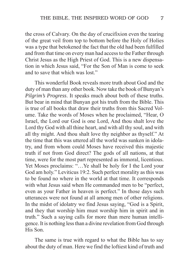the cross of Calvary. On the day of crucifixion even the tearing of the great veil from top to bottom before the Holy of Holies was a type that betokened the fact that the old had been fulfilled and from that time on every man had access to the Father through Christ Jesus as the High Priest of God. This is a new dispensation in which Jesus said, "For the Son of Man is come to seek and to save that which was lost"

This wonderful Book reveals more truth about God and the duty of man than any other book. Now take the book of Bunyan's *Pilgrim's Progress*. It speaks much about both of these truths. But bear in mind that Bunyan got his truth from the Bible. This is true of all books that draw their truths from this Sacred Volume. Take the words of Moses when he proclaimed, "Hear, O Israel, the Lord our God is one Lord, And thou shalt love the Lord thy God with all thine heart, and with all thy soul, and with all thy might. And thou shalt love thy neighbor as thyself." At the time that this was uttered all the world was sunken in idolatry, and from whom could Moses have received this majestic truth if not from God direct? The gods of all nations, at that time, were for the most part represented as immoral, licentious. Yet Moses proclaims: "…Ye shall be holy for I the Lord your God am holy." Leviticus 19:2. Such perfect morality as this was to be found no where in the world at that time. It corresponds with what Jesus said when He commanded men to be "perfect, even as your Father in heaven is perfect." In those days such utterances were not found at all among men of other religions. In the midst of idolatry we find Jesus saying, "God is a Spirit, and they that worship him must worship him in spirit and in truth." Such a saying calls for more than mere human intelligence. It is nothing less than a divine revelation from God through His Son.

The same is true with regard to what the Bible has to say about the duty of man. Here we find the loftiest kind of truth and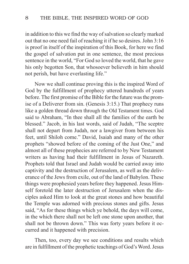in addition to this we find the way of salvation so clearly marked out that no one need fail of reaching it if he so desires. John 3:16 is proof in itself of the inspiration of this Book, for here we find the gospel of salvation put in one sentence, the most precious sentence in the world, "For God so loved the world, that he gave his only begotten Son, that whosoever believeth in him should not perish, but have everlasting life."

Now we shall continue proving this is the inspired Word of God by the fulfillment of prophecy uttered hundreds of years before. The first promise of the Bible for the future was the promise of a Deliverer from sin. (Genesis 3:15.) That prophecy runs like a golden thread down through the Old Testament times. God said to Abraham, "In thee shall all the families of the earth be blessed." Jacob, in his last words, said of Judah, "The sceptre shall not depart from Judah, nor a lawgiver from between his feet, until Shiloh come." David, Isaiah and many of the other prophets "showed before of the coming of the Just One," and almost all of these prophecies are referred to by New Testament writers as having had their fulfillment in Jesus of Nazareth. Prophets told that Israel and Judah would be carried away into captivity and the destruction of Jerusalem, as well as the deliverance of the Jews from exile, out of the land of Babylon. These things were prophesied years before they happened. Jesus Himself foretold the later destruction of Jerusalem when the disciples asked Him to look at the great stones and how beautiful the Temple was adorned with precious stones and gifts. Jesus said, "As for these things which ye behold, the days will come, in the which there shall not be left one stone upon another, that shall not be thrown down." This was forty years before it occurred and it happened with precision.

Then, too, every day we see conditions and results which are in fulfillment of the prophetic teachings of God's Word. Jesus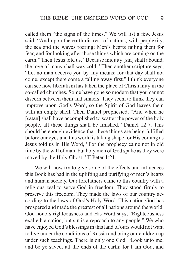called them "the signs of the times." We will list a few. Jesus said, "And upon the earth distress of nations, with perplexity, the sea and the waves roaring; Men's hearts failing them for fear, and for looking after those things which are coming on the earth." Then Jesus told us, "Because iniquity [sin] shall abound, the love of many shall wax cold." Then another scripture says, "Let no man deceive you by any means: for that day shall not come, except there come a falling away first." I think everyone can see how liberalism has taken the place of Christianity in the so-called churches. Some have gone so modern that you cannot discern between them and sinners. They seem to think they can improve upon God's Word, so the Spirit of God leaves them with an empty shell. Then Daniel prophesied, "And when he [satan] shall have accomplished to scatter the power of the holy people, all these things shall be finished." Daniel 12:7. This should be enough evidence that these things are being fulfilled before our eyes and this world is taking shape for His coming as Jesus told us in His Word, "For the prophecy came not in old time by the will of man: but holy men of God spake as they were moved by the Holy Ghost." II Peter 1:21.

We will now try to give some of the effects and influences this Book has had in the uplifting and purifying of men's hearts and human society. Our forefathers came to this country with a religious zeal to serve God in freedom. They stood firmly to preserve this freedom. They made the laws of our country according to the laws of God's Holy Word. This nation God has prospered and made the greatest of all nations around the world. God honors righteousness and His Word says, "Righteousness exalteth a nation, but sin is a reproach to any people." We who have enjoyed God's blessings in this land of ours would not want to live under the conditions of Russia and bring our children up under such teachings. There is only one God. "Look unto me, and be ye saved, all the ends of the earth: for I am God, and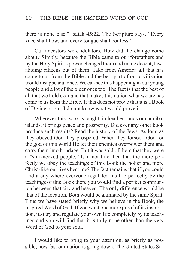there is none else." Isaiah 45:22. The Scripture says, "Every knee shall bow, and every tongue shall confess."

Our ancestors were idolators. How did the change come about? Simply, because the Bible came to our forefathers and by the Holy Spirit's power changed them and made decent, lawabiding citizens out of them. Take from America all that has come to us from the Bible and the best part of our civilization would disappear at once. We can see this happening in our young people and a lot of the older ones too. The fact is that the best of all that we hold dear and that makes this nation what we are has come to us from the Bible. If this does not prove that it is a Book of Divine origin, I do not know what would prove it.

Wherever this Book is taught, in heathen lands or cannibal islands, it brings peace and prosperity. Did ever any other book produce such results? Read the history of the Jews. As long as they obeyed God they prospered. When they forsook God for the god of this world He let their enemies overpower them and carry them into bondage. But it was said of them that they were a "stiff-necked people." Is it not true then that the more perfectly we obey the teachings of this Book the holier and more Christ-like our lives become? The fact remains that if you could find a city where everyone regulated his life perfectly by the teachings of this Book there you would find a perfect communion between that city and heaven. The only difference would be that of the location. Both would be animated by the same Spirit. Thus we have stated briefly why we believe in the Book, the inspired Word of God. If you want one more proof of its inspiration, just try and regulate your own life completely by its teachings and you will find that it is truly none other than the very Word of God to your soul.

I would like to bring to your attention, as briefly as possible, how fast our nation is going down. The United States Su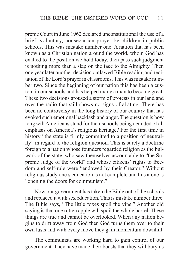preme Court in June 1962 declared unconstitutional the use of a brief, voluntary, nonsectarian prayer by children in public schools. This was mistake number one. A nation that has been known as a Christian nation around the world, whom God has exalted to the position we hold today, then pass such judgment is nothing more than a slap on the face to the Almighty. Then one year later another decision outlawed Bible reading and recitation of the Lord's prayer in classrooms. This was mistake number two. Since the beginning of our nation this has been a custom in our schools and has helped many a man to become great. These two decisions aroused a storm of protests in our land and over the radio that still shows no signs of abating. There has been no controversy in the long history of our country that has evoked such emotional backlash and anger. The question is how long will Americans stand for their schools being denuded of all emphasis on America's religious heritage? For the first time in history "the state is firmly committed to a position of neutrality" in regard to the religion question. This is surely a doctrine foreign to a nation whose founders regarded religion as the bulwark of the state, who saw themselves accountable to "the Supreme Judge of the world" and whose citizens' rights to freedom and self-rule were "endowed by their Creator." Without religious study one's education is not complete and this alone is "opening the doors for communism."

Now our government has taken the Bible out of the schools and replaced it with sex education. This is mistake number three. The Bible says, "The little foxes spoil the vine." Another old saying is that one rotten apple will spoil the whole barrel. These things are true and cannot be overlooked. When any nation begins to drift away from God then God turns them over to their own lusts and with every move they gain momentum downhill.

The communists are working hard to gain control of our government. They have made their boasts that they will bury us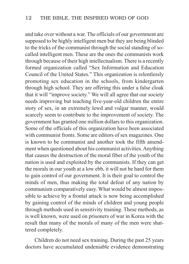and take over without a war. The officials of our government are supposed to be highly intelligent men but they are being blinded to the tricks of the communist through the social standing of socalled intelligent men. These are the ones the communists work through because of their high intellectualism. There is a recently formed organization called "Sex Information and Education Council of the United States." This organization is relentlessly promoting sex education in the schools, from kindergarten through high school. They are offering this under a false cloak that it will "improve society." We will all agree that our society needs improving but teaching five-year-old children the entire story of sex, in an extremely lewd and vulgar manner, would scarcely seem to contribute to the improvement of society. The government has granted one million dollars to this organization. Some of the officials of this organization have been associated with communist fronts. Some are editors of sex magazines. One is known to be communist and another took the fifth amendment when questioned about his communist activities. Anything that causes the destruction of the moral fiber of the youth of the nation is used and exploited by the communists. If they can get the morals in our youth at a low ebb, it will not be hard for them to gain control of our government. It is their goal to control the minds of men, thus making the total defeat of any nation by communism comparatively easy. What would be almost impossible to achieve by a frontal attack is now being accomplished by gaining control of the minds of children and young people through methods used in sensitivity training. These methods, as is well known, were used on prisoners of war in Korea with the result that many of the morals of many of the men were shattered completely.

Children do not need sex training. During the past 25 years doctors have accumulated undeniable evidence demonstrating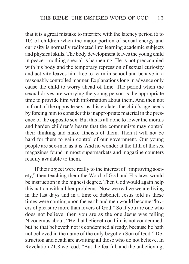that it is a great mistake to interfere with the latency period (6 to 10) of children when the major portion of sexual energy and curiosity is normally redirected into learning academic subjects and physical skills. The body development leaves the young child in peace—nothing special is happening. He is not preoccupied with his body and the temporary repression of sexual curiosity and activity leaves him free to learn in school and behave in a reasonably controlled manner. Explanations long in advance only cause the child to worry ahead of time. The period when the sexual drives are worrying the young person is the appropriate time to provide him with information about them. And then not in front of the opposite sex, as this violates the child's age needs by forcing him to consider this inappropriate material in the presence of the opposite sex. But this is all done to lower the morals and harden children's hearts that the communists may control their thinking and make atheists of them. Then it will not be hard for them to gain control of our government. Our young people are sex-mad as it is. And no wonder at the filth of the sex magazines found in most supermarkets and magazine counters readily available to them.

If their object were really to the interest of "improving society," then teaching them the Word of God and His laws would be instruction in the highest degree. Then God would again help this nation with all her problems. Now we realize we are living in the last days and in a time of disbelief. Jesus told us these times were coming upon the earth and men would become "lovers of pleasure more than lovers of God." So if you are one who does not believe, then you are as the one Jesus was telling Nicodemus about. "He that believeth on him is not condemned: but he that believeth not is condemned already, because he hath not believed in the name of the only begotten Son of God." Destruction and death are awaiting all those who do not believe. In Revelation 21:8 we read, "But the fearful, and the unbelieving,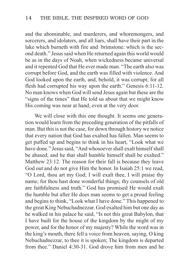and the abominable, and murderers, and whoremongers, and sorcerers, and idolaters, and all liars, shall have their part in the lake which burneth with fire and brimstone: which is the second death." Jesus said when He returned again this world would be as in the days of Noah, when wickedness became universal and it repented God that He ever made man. "The earth also was corrupt before God, and the earth was filled with violence. And God looked upon the earth, and, behold, it was corrupt; for all flesh had corrupted his way upon the earth." Genesis 6:11-12. No man knows when God will send Jesus again but these are the "signs of the times" that He told us about that we might know His coming was near at hand, even at the very door.

We will close with this one thought. It seems one generation would learn from the preceding generation of the pitfalls of man. But this is not the case, for down through history we notice that every nation that God has exalted has fallen. Man seems to get puffed up and begins to think in his heart, "Look what we have done." Jesus said, "And whosoever shall exalt himself shall be abased; and he that shall humble himself shall be exalted." Matthew 23:12. The reason for their fall is because they leave God out and do not give Him the honor. In Isaiah 25:1 we read, "O Lord, thou art my God; I will exalt thee, I will praise thy name; for thou hast done wonderful things; thy counsels of old are faithfulness and truth." God has promised He would exalt the humble but after He does man seems to get a proud feeling and begins to think, "Look what I have done." This happened to the great King Nebuchadnezzar. God exalted him but one day as he walked in his palace he said, "Is not this great Babylon, that I have built for the house of the kingdom by the might of my power, and for the honor of my majesty? While the word was in the king's mouth, there fell a voice from heaven, saying, O king Nebuchadnezzar, to thee it is spoken; The kingdom is departed from thee." Daniel 4:30-31. God drove him from men and he